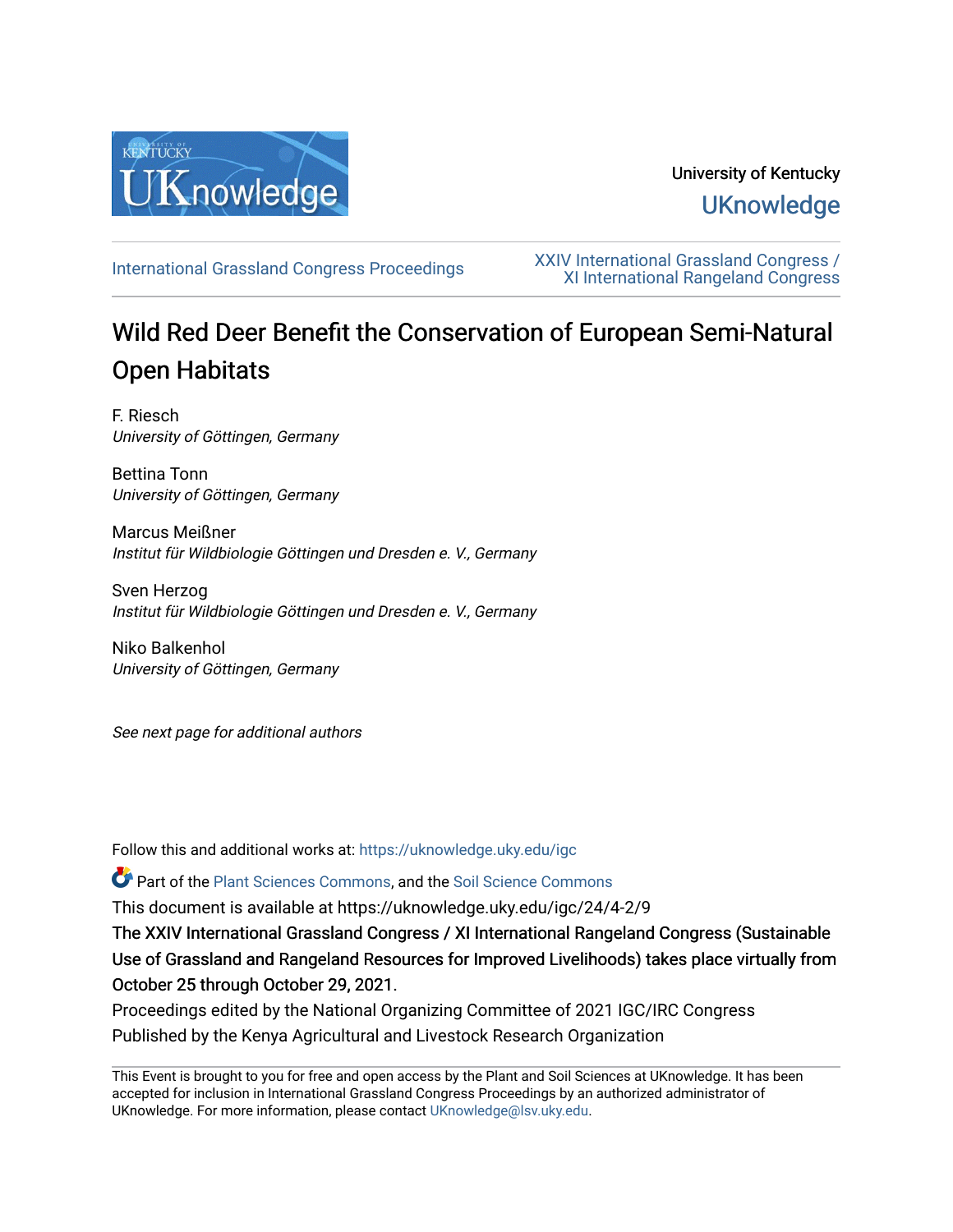

# University of Kentucky **UKnowledge**

[International Grassland Congress Proceedings](https://uknowledge.uky.edu/igc) [XXIV International Grassland Congress /](https://uknowledge.uky.edu/igc/24)  [XI International Rangeland Congress](https://uknowledge.uky.edu/igc/24) 

# Wild Red Deer Benefit the Conservation of European Semi-Natural Open Habitats

F. Riesch University of Göttingen, Germany

Bettina Tonn University of Göttingen, Germany

Marcus Meißner Institut für Wildbiologie Göttingen und Dresden e. V., Germany

Sven Herzog Institut für Wildbiologie Göttingen und Dresden e. V., Germany

Niko Balkenhol University of Göttingen, Germany

See next page for additional authors

Follow this and additional works at: [https://uknowledge.uky.edu/igc](https://uknowledge.uky.edu/igc?utm_source=uknowledge.uky.edu%2Figc%2F24%2F4-2%2F9&utm_medium=PDF&utm_campaign=PDFCoverPages) 

Part of the [Plant Sciences Commons](http://network.bepress.com/hgg/discipline/102?utm_source=uknowledge.uky.edu%2Figc%2F24%2F4-2%2F9&utm_medium=PDF&utm_campaign=PDFCoverPages), and the [Soil Science Commons](http://network.bepress.com/hgg/discipline/163?utm_source=uknowledge.uky.edu%2Figc%2F24%2F4-2%2F9&utm_medium=PDF&utm_campaign=PDFCoverPages) 

This document is available at https://uknowledge.uky.edu/igc/24/4-2/9

The XXIV International Grassland Congress / XI International Rangeland Congress (Sustainable Use of Grassland and Rangeland Resources for Improved Livelihoods) takes place virtually from October 25 through October 29, 2021.

Proceedings edited by the National Organizing Committee of 2021 IGC/IRC Congress Published by the Kenya Agricultural and Livestock Research Organization

This Event is brought to you for free and open access by the Plant and Soil Sciences at UKnowledge. It has been accepted for inclusion in International Grassland Congress Proceedings by an authorized administrator of UKnowledge. For more information, please contact [UKnowledge@lsv.uky.edu](mailto:UKnowledge@lsv.uky.edu).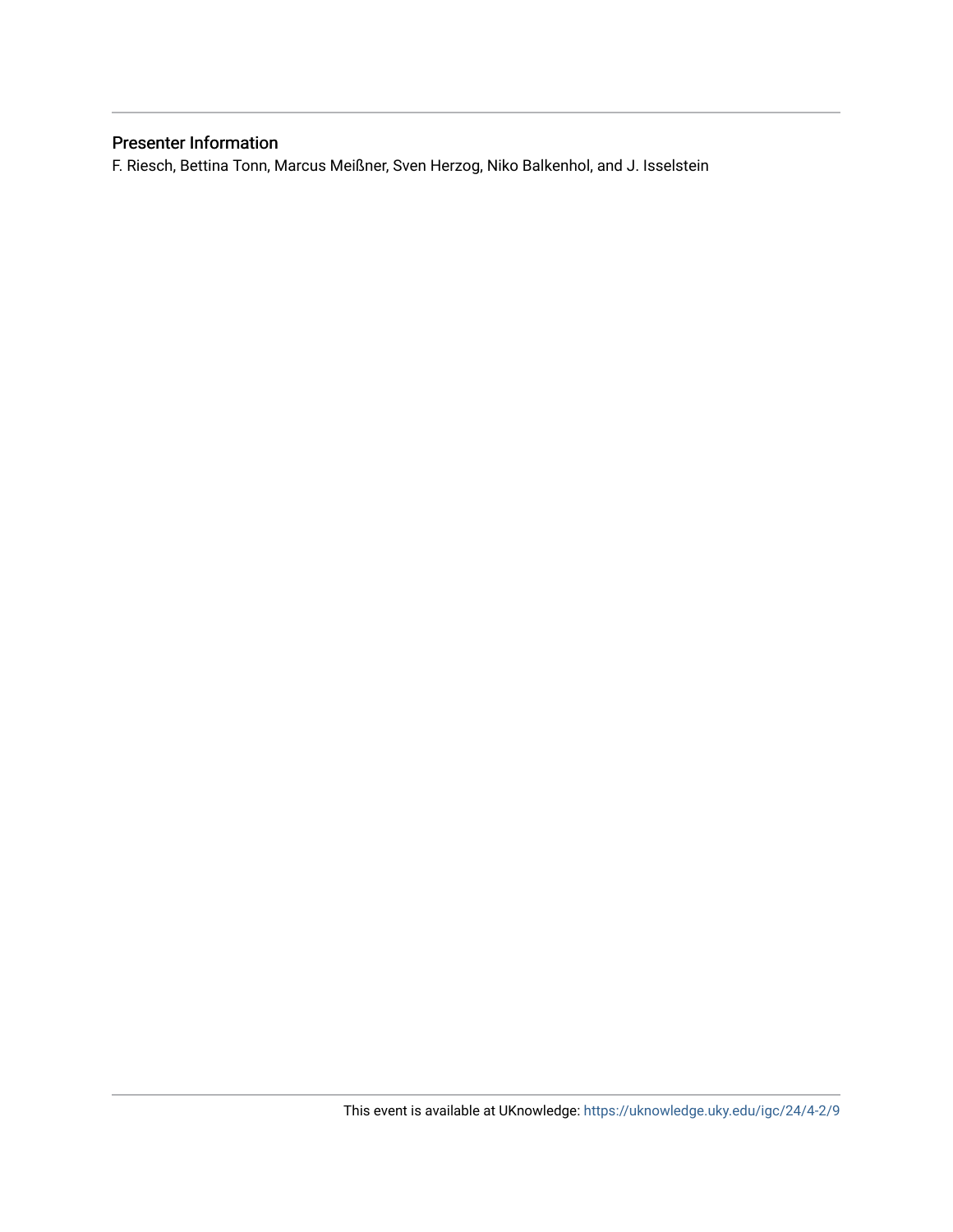# Presenter Information

F. Riesch, Bettina Tonn, Marcus Meißner, Sven Herzog, Niko Balkenhol, and J. Isselstein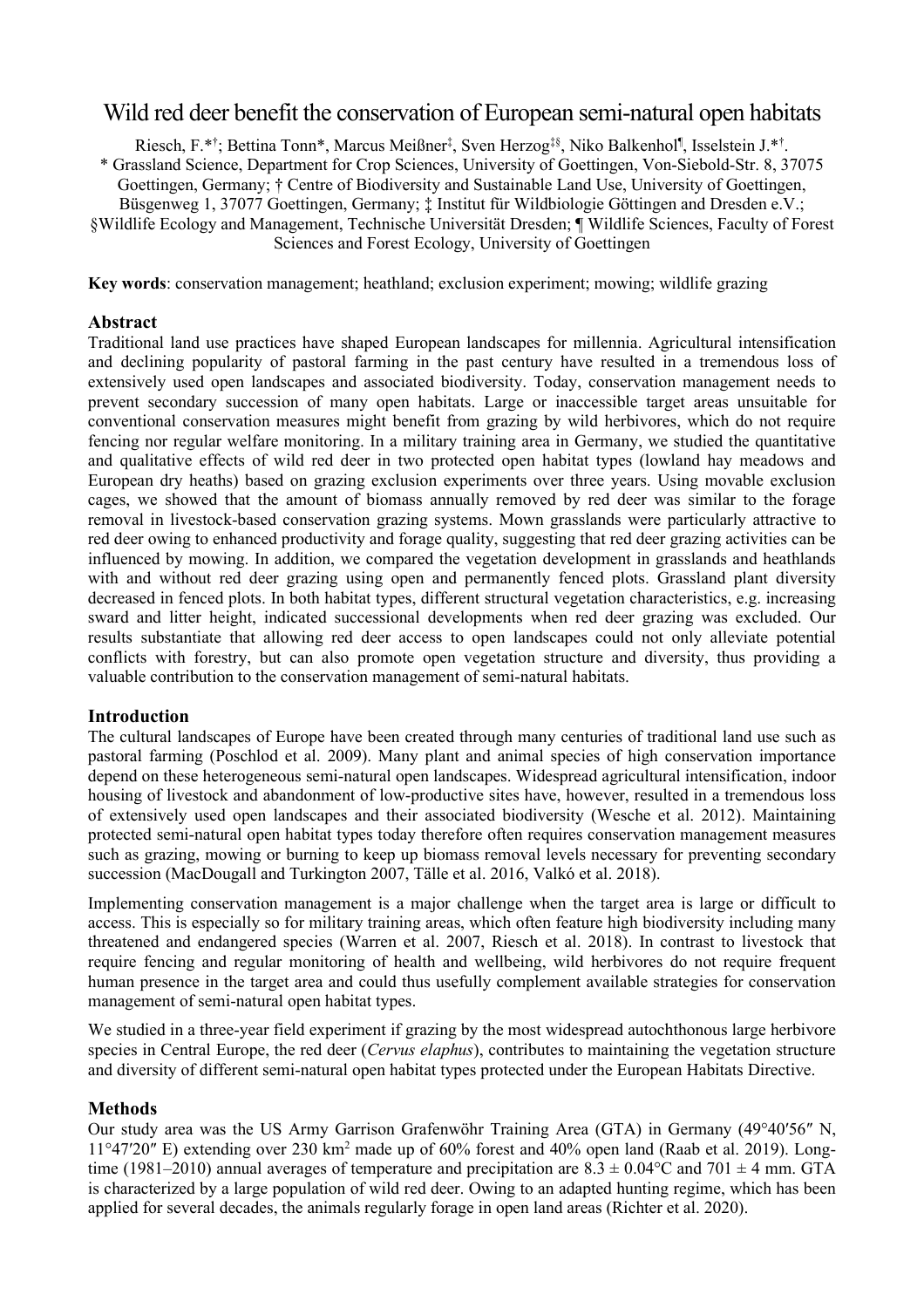# Wild red deer benefit the conservation of European semi-natural open habitats

Riesch, F.\*†; Bettina Tonn\*, Marcus Meißner‡, Sven Herzog‡§, Niko Balkenhol¶, Isselstein J.\*†.

\* Grassland Science, Department for Crop Sciences, University of Goettingen, Von-Siebold-Str. 8, 37075 Goettingen, Germany; † Centre of Biodiversity and Sustainable Land Use, University of Goettingen,

Büsgenweg 1, 37077 Goettingen, Germany; ‡ Institut für Wildbiologie Göttingen and Dresden e.V.;

§Wildlife Ecology and Management, Technische Universität Dresden; ¶ Wildlife Sciences, Faculty of Forest Sciences and Forest Ecology, University of Goettingen

**Key words**: conservation management; heathland; exclusion experiment; mowing; wildlife grazing

### **Abstract**

Traditional land use practices have shaped European landscapes for millennia. Agricultural intensification and declining popularity of pastoral farming in the past century have resulted in a tremendous loss of extensively used open landscapes and associated biodiversity. Today, conservation management needs to prevent secondary succession of many open habitats. Large or inaccessible target areas unsuitable for conventional conservation measures might benefit from grazing by wild herbivores, which do not require fencing nor regular welfare monitoring. In a military training area in Germany, we studied the quantitative and qualitative effects of wild red deer in two protected open habitat types (lowland hay meadows and European dry heaths) based on grazing exclusion experiments over three years. Using movable exclusion cages, we showed that the amount of biomass annually removed by red deer was similar to the forage removal in livestock-based conservation grazing systems. Mown grasslands were particularly attractive to red deer owing to enhanced productivity and forage quality, suggesting that red deer grazing activities can be influenced by mowing. In addition, we compared the vegetation development in grasslands and heathlands with and without red deer grazing using open and permanently fenced plots. Grassland plant diversity decreased in fenced plots. In both habitat types, different structural vegetation characteristics, e.g. increasing sward and litter height, indicated successional developments when red deer grazing was excluded. Our results substantiate that allowing red deer access to open landscapes could not only alleviate potential conflicts with forestry, but can also promote open vegetation structure and diversity, thus providing a valuable contribution to the conservation management of semi-natural habitats.

## **Introduction**

The cultural landscapes of Europe have been created through many centuries of traditional land use such as pastoral farming (Poschlod et al. 2009). Many plant and animal species of high conservation importance depend on these heterogeneous semi-natural open landscapes. Widespread agricultural intensification, indoor housing of livestock and abandonment of low-productive sites have, however, resulted in a tremendous loss of extensively used open landscapes and their associated biodiversity (Wesche et al. 2012). Maintaining protected semi-natural open habitat types today therefore often requires conservation management measures such as grazing, mowing or burning to keep up biomass removal levels necessary for preventing secondary succession (MacDougall and Turkington 2007, Tälle et al. 2016, Valkó et al. 2018).

Implementing conservation management is a major challenge when the target area is large or difficult to access. This is especially so for military training areas, which often feature high biodiversity including many threatened and endangered species (Warren et al. 2007, Riesch et al. 2018). In contrast to livestock that require fencing and regular monitoring of health and wellbeing, wild herbivores do not require frequent human presence in the target area and could thus usefully complement available strategies for conservation management of semi-natural open habitat types.

We studied in a three-year field experiment if grazing by the most widespread autochthonous large herbivore species in Central Europe, the red deer (*Cervus elaphus*), contributes to maintaining the vegetation structure and diversity of different semi-natural open habitat types protected under the European Habitats Directive.

## **Methods**

Our study area was the US Army Garrison Grafenwöhr Training Area (GTA) in Germany (49°40′56″ N,  $11^{\circ}47'20''$  E) extending over 230 km<sup>2</sup> made up of 60% forest and 40% open land (Raab et al. 2019). Longtime (1981–2010) annual averages of temperature and precipitation are  $8.3 \pm 0.04$ °C and  $701 \pm 4$  mm. GTA is characterized by a large population of wild red deer. Owing to an adapted hunting regime, which has been applied for several decades, the animals regularly forage in open land areas (Richter et al. 2020).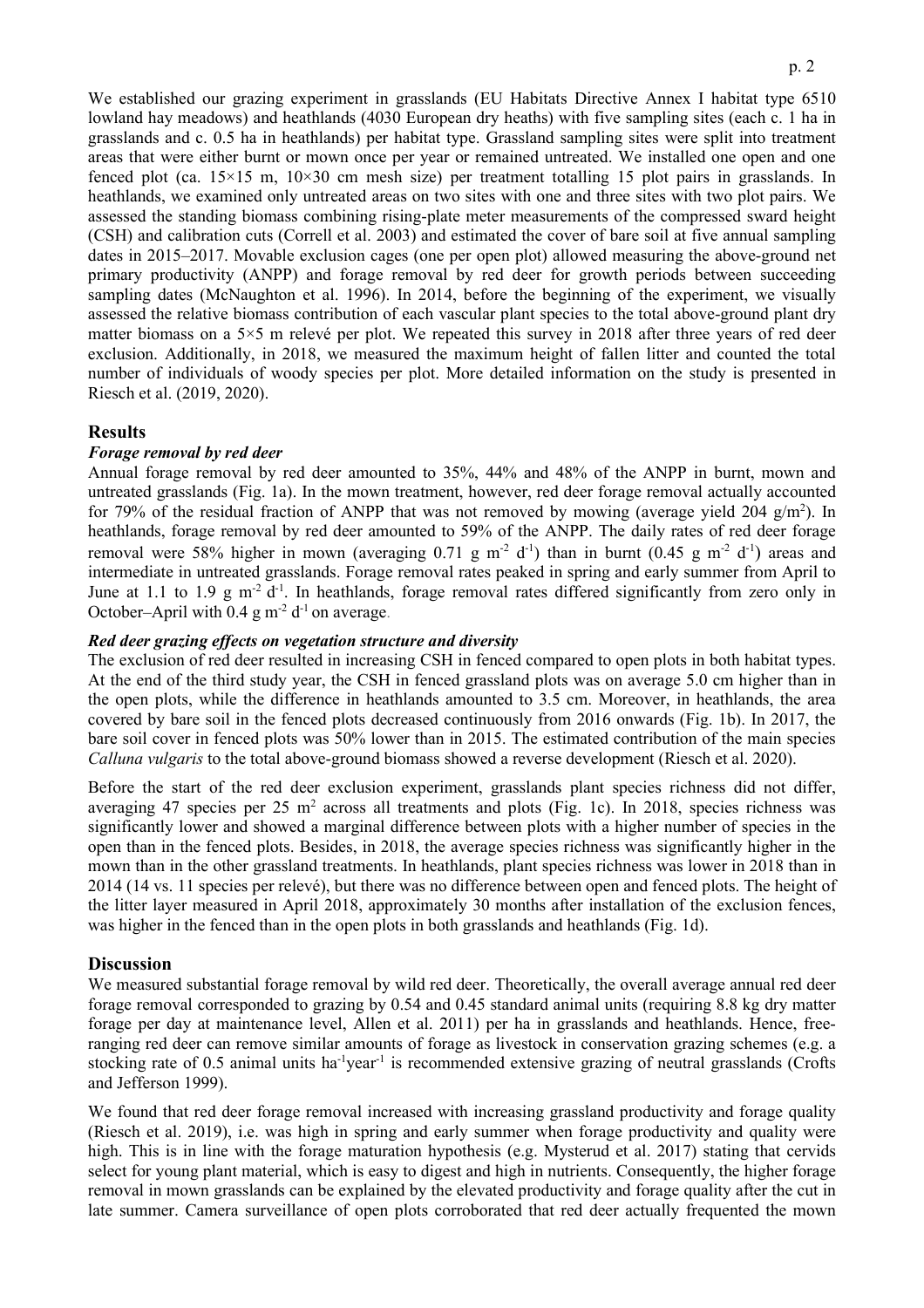We established our grazing experiment in grasslands (EU Habitats Directive Annex I habitat type 6510 lowland hay meadows) and heathlands (4030 European dry heaths) with five sampling sites (each c. 1 ha in grasslands and c. 0.5 ha in heathlands) per habitat type. Grassland sampling sites were split into treatment areas that were either burnt or mown once per year or remained untreated. We installed one open and one fenced plot (ca. 15×15 m, 10×30 cm mesh size) per treatment totalling 15 plot pairs in grasslands. In heathlands, we examined only untreated areas on two sites with one and three sites with two plot pairs. We assessed the standing biomass combining rising‐plate meter measurements of the compressed sward height (CSH) and calibration cuts (Correll et al. 2003) and estimated the cover of bare soil at five annual sampling dates in 2015–2017. Movable exclusion cages (one per open plot) allowed measuring the above‐ground net primary productivity (ANPP) and forage removal by red deer for growth periods between succeeding sampling dates (McNaughton et al. 1996). In 2014, before the beginning of the experiment, we visually assessed the relative biomass contribution of each vascular plant species to the total above-ground plant dry matter biomass on a 5×5 m relevé per plot. We repeated this survey in 2018 after three years of red deer exclusion. Additionally, in 2018, we measured the maximum height of fallen litter and counted the total number of individuals of woody species per plot. More detailed information on the study is presented in Riesch et al. (2019, 2020).

#### **Results**

#### *Forage removal by red deer*

Annual forage removal by red deer amounted to 35%, 44% and 48% of the ANPP in burnt, mown and untreated grasslands (Fig. 1a). In the mown treatment, however, red deer forage removal actually accounted for 79% of the residual fraction of ANPP that was not removed by mowing (average yield 204  $g/m<sup>2</sup>$ ). In heathlands, forage removal by red deer amounted to 59% of the ANPP. The daily rates of red deer forage removal were 58% higher in mown (averaging 0.71 g m<sup>-2</sup> d<sup>-1</sup>) than in burnt (0.45 g m<sup>-2</sup> d<sup>-1</sup>) areas and intermediate in untreated grasslands. Forage removal rates peaked in spring and early summer from April to June at 1.1 to 1.9  $g$  m<sup>-2</sup> d<sup>-1</sup>. In heathlands, forage removal rates differed significantly from zero only in October–April with 0.4  $\rm g$  m<sup>-2</sup> d<sup>-1</sup> on average.

#### *Red deer grazing effects on vegetation structure and diversity*

The exclusion of red deer resulted in increasing CSH in fenced compared to open plots in both habitat types. At the end of the third study year, the CSH in fenced grassland plots was on average 5.0 cm higher than in the open plots, while the difference in heathlands amounted to 3.5 cm. Moreover, in heathlands, the area covered by bare soil in the fenced plots decreased continuously from 2016 onwards (Fig. 1b). In 2017, the bare soil cover in fenced plots was 50% lower than in 2015. The estimated contribution of the main species *Calluna vulgaris* to the total above-ground biomass showed a reverse development (Riesch et al. 2020).

Before the start of the red deer exclusion experiment, grasslands plant species richness did not differ, averaging 47 species per 25 m<sup>2</sup> across all treatments and plots (Fig. 1c). In 2018, species richness was significantly lower and showed a marginal difference between plots with a higher number of species in the open than in the fenced plots. Besides, in 2018, the average species richness was significantly higher in the mown than in the other grassland treatments. In heathlands, plant species richness was lower in 2018 than in 2014 (14 vs. 11 species per relevé), but there was no difference between open and fenced plots. The height of the litter layer measured in April 2018, approximately 30 months after installation of the exclusion fences, was higher in the fenced than in the open plots in both grasslands and heathlands (Fig. 1d).

#### **Discussion**

We measured substantial forage removal by wild red deer. Theoretically, the overall average annual red deer forage removal corresponded to grazing by 0.54 and 0.45 standard animal units (requiring 8.8 kg dry matter forage per day at maintenance level, Allen et al. 2011) per ha in grasslands and heathlands. Hence, free‐ ranging red deer can remove similar amounts of forage as livestock in conservation grazing schemes (e.g. a stocking rate of 0.5 animal units ha<sup>-1</sup>year<sup>-1</sup> is recommended extensive grazing of neutral grasslands (Crofts and Jefferson 1999).

We found that red deer forage removal increased with increasing grassland productivity and forage quality (Riesch et al. 2019), i.e. was high in spring and early summer when forage productivity and quality were high. This is in line with the forage maturation hypothesis (e.g. Mysterud et al. 2017) stating that cervids select for young plant material, which is easy to digest and high in nutrients. Consequently, the higher forage removal in mown grasslands can be explained by the elevated productivity and forage quality after the cut in late summer. Camera surveillance of open plots corroborated that red deer actually frequented the mown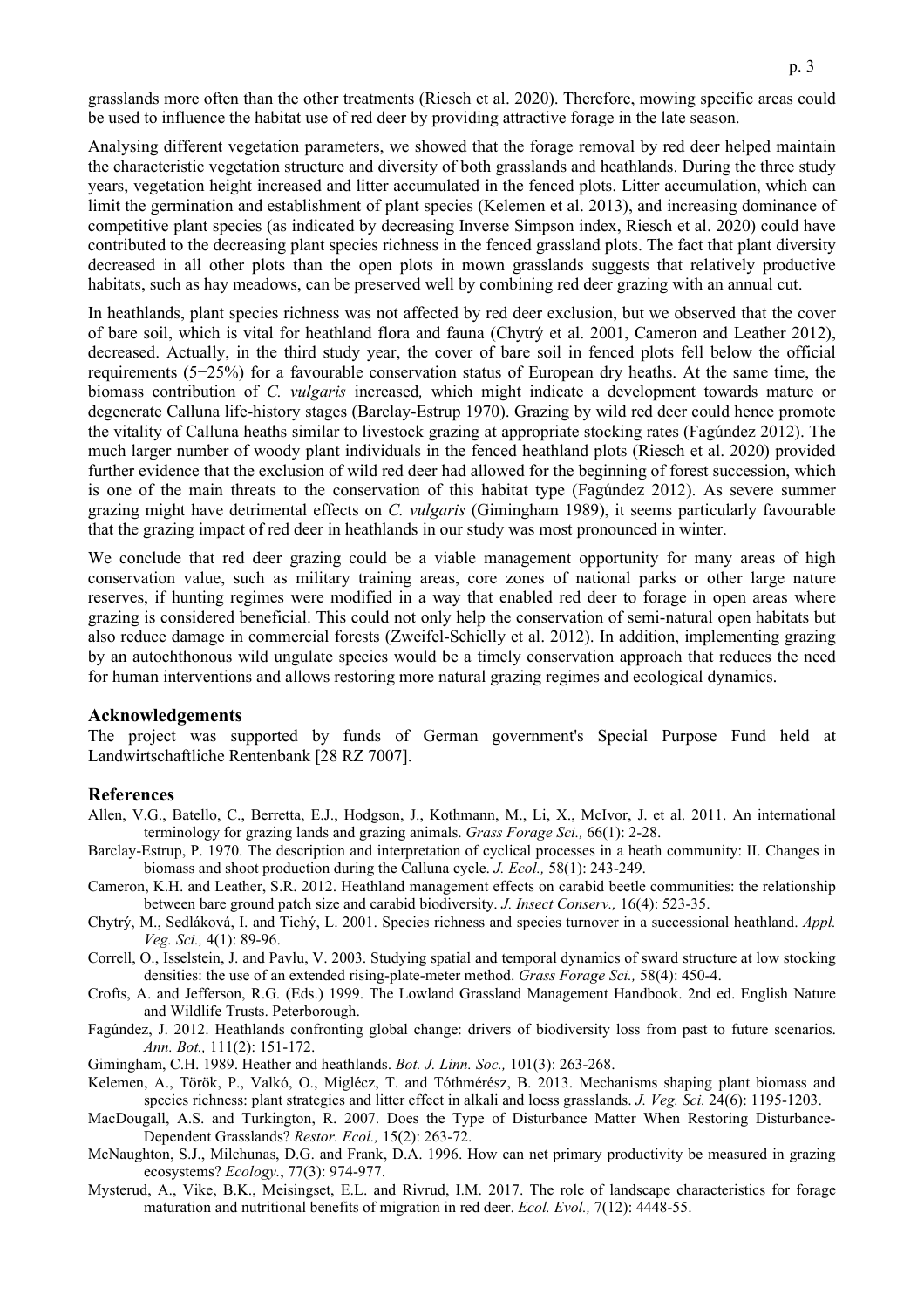grasslands more often than the other treatments (Riesch et al. 2020). Therefore, mowing specific areas could be used to influence the habitat use of red deer by providing attractive forage in the late season.

Analysing different vegetation parameters, we showed that the forage removal by red deer helped maintain the characteristic vegetation structure and diversity of both grasslands and heathlands. During the three study years, vegetation height increased and litter accumulated in the fenced plots. Litter accumulation, which can limit the germination and establishment of plant species (Kelemen et al. 2013), and increasing dominance of competitive plant species (as indicated by decreasing Inverse Simpson index, Riesch et al. 2020) could have contributed to the decreasing plant species richness in the fenced grassland plots. The fact that plant diversity decreased in all other plots than the open plots in mown grasslands suggests that relatively productive habitats, such as hay meadows, can be preserved well by combining red deer grazing with an annual cut.

In heathlands, plant species richness was not affected by red deer exclusion, but we observed that the cover of bare soil, which is vital for heathland flora and fauna (Chytrý et al. 2001, Cameron and Leather 2012), decreased. Actually, in the third study year, the cover of bare soil in fenced plots fell below the official requirements (5−25%) for a favourable conservation status of European dry heaths. At the same time, the biomass contribution of *C. vulgaris* increased*,* which might indicate a development towards mature or degenerate Calluna life-history stages (Barclay-Estrup 1970). Grazing by wild red deer could hence promote the vitality of Calluna heaths similar to livestock grazing at appropriate stocking rates (Fagúndez 2012). The much larger number of woody plant individuals in the fenced heathland plots (Riesch et al. 2020) provided further evidence that the exclusion of wild red deer had allowed for the beginning of forest succession, which is one of the main threats to the conservation of this habitat type (Fagúndez 2012). As severe summer grazing might have detrimental effects on *C. vulgaris* (Gimingham 1989), it seems particularly favourable that the grazing impact of red deer in heathlands in our study was most pronounced in winter.

We conclude that red deer grazing could be a viable management opportunity for many areas of high conservation value, such as military training areas, core zones of national parks or other large nature reserves, if hunting regimes were modified in a way that enabled red deer to forage in open areas where grazing is considered beneficial. This could not only help the conservation of semi‐natural open habitats but also reduce damage in commercial forests (Zweifel-Schielly et al. 2012). In addition, implementing grazing by an autochthonous wild ungulate species would be a timely conservation approach that reduces the need for human interventions and allows restoring more natural grazing regimes and ecological dynamics.

#### **Acknowledgements**

The project was supported by funds of German government's Special Purpose Fund held at Landwirtschaftliche Rentenbank [28 RZ 7007].

#### **References**

- Allen, V.G., Batello, C., Berretta, E.J., Hodgson, J., Kothmann, M., Li, X., McIvor, J. et al. 2011. An international terminology for grazing lands and grazing animals. *Grass Forage Sci.,* 66(1): 2-28.
- Barclay-Estrup, P. 1970. The description and interpretation of cyclical processes in a heath community: II. Changes in biomass and shoot production during the Calluna cycle. *J. Ecol.,* 58(1): 243-249.
- Cameron, K.H. and Leather, S.R. 2012. Heathland management effects on carabid beetle communities: the relationship between bare ground patch size and carabid biodiversity. *J. Insect Conserv.,* 16(4): 523-35.
- Chytrý, M., Sedláková, I. and Tichý, L. 2001. Species richness and species turnover in a successional heathland. *Appl. Veg. Sci.,* 4(1): 89-96.
- Correll, O., Isselstein, J. and Pavlu, V. 2003. Studying spatial and temporal dynamics of sward structure at low stocking densities: the use of an extended rising-plate-meter method. *Grass Forage Sci.,* 58(4): 450-4.
- Crofts, A. and Jefferson, R.G. (Eds.) 1999. The Lowland Grassland Management Handbook. 2nd ed. English Nature and Wildlife Trusts. Peterborough.
- Fagúndez, J. 2012. Heathlands confronting global change: drivers of biodiversity loss from past to future scenarios. *Ann. Bot.,* 111(2): 151-172.
- Gimingham, C.H. 1989. Heather and heathlands. *Bot. J. Linn. Soc.,* 101(3): 263-268.
- Kelemen, A., Török, P., Valkó, O., Miglécz, T. and Tóthmérész, B. 2013. Mechanisms shaping plant biomass and species richness: plant strategies and litter effect in alkali and loess grasslands. *J. Veg. Sci.* 24(6): 1195-1203.
- MacDougall, A.S. and Turkington, R. 2007. Does the Type of Disturbance Matter When Restoring Disturbance-Dependent Grasslands? *Restor. Ecol.,* 15(2): 263-72.
- McNaughton, S.J., Milchunas, D.G. and Frank, D.A. 1996. How can net primary productivity be measured in grazing ecosystems? *Ecology.*, 77(3): 974-977.
- Mysterud, A., Vike, B.K., Meisingset, E.L. and Rivrud, I.M. 2017. The role of landscape characteristics for forage maturation and nutritional benefits of migration in red deer. *Ecol. Evol.,* 7(12): 4448-55.